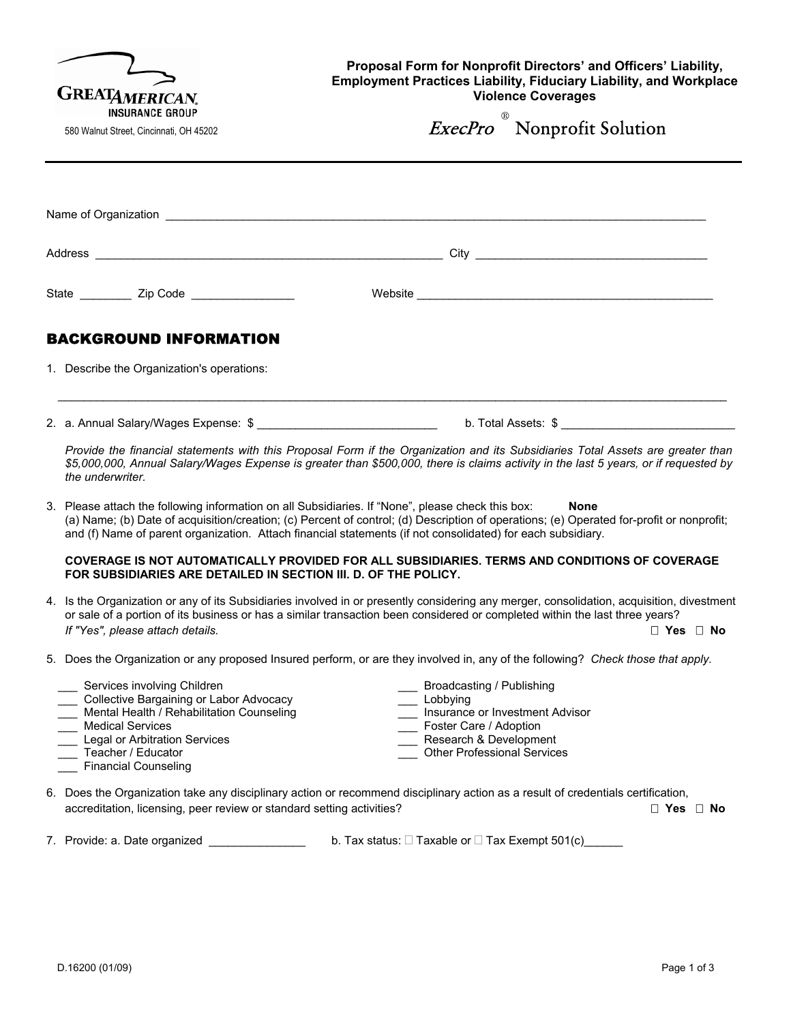| <b>GREATAMERICAN.</b><br><b>INSURANCE GROUP</b> |                                                                                                                                                                                                                                                                                                                                                              | Proposal Form for Nonprofit Directors' and Officers' Liability,<br><b>Employment Practices Liability, Fiduciary Liability, and Workplace</b><br><b>Violence Coverages</b> |                                                |  |
|-------------------------------------------------|--------------------------------------------------------------------------------------------------------------------------------------------------------------------------------------------------------------------------------------------------------------------------------------------------------------------------------------------------------------|---------------------------------------------------------------------------------------------------------------------------------------------------------------------------|------------------------------------------------|--|
|                                                 | 580 Walnut Street, Cincinnati, OH 45202                                                                                                                                                                                                                                                                                                                      |                                                                                                                                                                           | <i>ExecPro</i> <sup>®</sup> Nonprofit Solution |  |
|                                                 |                                                                                                                                                                                                                                                                                                                                                              |                                                                                                                                                                           |                                                |  |
|                                                 |                                                                                                                                                                                                                                                                                                                                                              |                                                                                                                                                                           |                                                |  |
|                                                 |                                                                                                                                                                                                                                                                                                                                                              |                                                                                                                                                                           |                                                |  |
|                                                 | State ____________ Zip Code ___________________                                                                                                                                                                                                                                                                                                              |                                                                                                                                                                           |                                                |  |
|                                                 | <b>BACKGROUND INFORMATION</b>                                                                                                                                                                                                                                                                                                                                |                                                                                                                                                                           |                                                |  |
|                                                 | 1. Describe the Organization's operations:                                                                                                                                                                                                                                                                                                                   |                                                                                                                                                                           |                                                |  |
|                                                 |                                                                                                                                                                                                                                                                                                                                                              |                                                                                                                                                                           |                                                |  |
|                                                 | Provide the financial statements with this Proposal Form if the Organization and its Subsidiaries Total Assets are greater than<br>\$5,000,000, Annual Salary/Wages Expense is greater than \$500,000, there is claims activity in the last 5 years, or if requested by<br>the underwriter.                                                                  |                                                                                                                                                                           |                                                |  |
|                                                 | 3. Please attach the following information on all Subsidiaries. If "None", please check this box:<br>(a) Name; (b) Date of acquisition/creation; (c) Percent of control; (d) Description of operations; (e) Operated for-profit or nonprofit;<br>and (f) Name of parent organization. Attach financial statements (if not consolidated) for each subsidiary. |                                                                                                                                                                           | <b>None</b>                                    |  |
|                                                 | COVERAGE IS NOT AUTOMATICALLY PROVIDED FOR ALL SUBSIDIARIES. TERMS AND CONDITIONS OF COVERAGE<br>FOR SUBSIDIARIES ARE DETAILED IN SECTION III. D. OF THE POLICY.                                                                                                                                                                                             |                                                                                                                                                                           |                                                |  |
|                                                 | 4. Is the Organization or any of its Subsidiaries involved in or presently considering any merger, consolidation, acquisition, divestment<br>or sale of a portion of its business or has a similar transaction been considered or completed within the last three years?<br>If "Yes", please attach details.                                                 |                                                                                                                                                                           | $\Box$ Yes $\Box$ No.                          |  |
|                                                 | 5. Does the Organization or any proposed Insured perform, or are they involved in, any of the following? Check those that apply.                                                                                                                                                                                                                             |                                                                                                                                                                           |                                                |  |
|                                                 | Services involving Children<br>Collective Bargaining or Labor Advocacy<br>Mental Health / Rehabilitation Counseling<br><b>Medical Services</b><br>Legal or Arbitration Services<br>Teacher / Educator<br><b>Financial Counseling</b>                                                                                                                         | Broadcasting / Publishing<br>Lobbying<br>__ Foster Care / Adoption<br>Research & Development<br><b>Other Professional Services</b>                                        | Insurance or Investment Advisor                |  |
|                                                 | 6. Does the Organization take any disciplinary action or recommend disciplinary action as a result of credentials certification,<br>accreditation, licensing, peer review or standard setting activities?                                                                                                                                                    |                                                                                                                                                                           | $\Box$ Yes $\Box$ No                           |  |
|                                                 | 7. Provide: a. Date organized                                                                                                                                                                                                                                                                                                                                | b. Tax status: $\Box$ Taxable or $\Box$ Tax Exempt 501(c) ______                                                                                                          |                                                |  |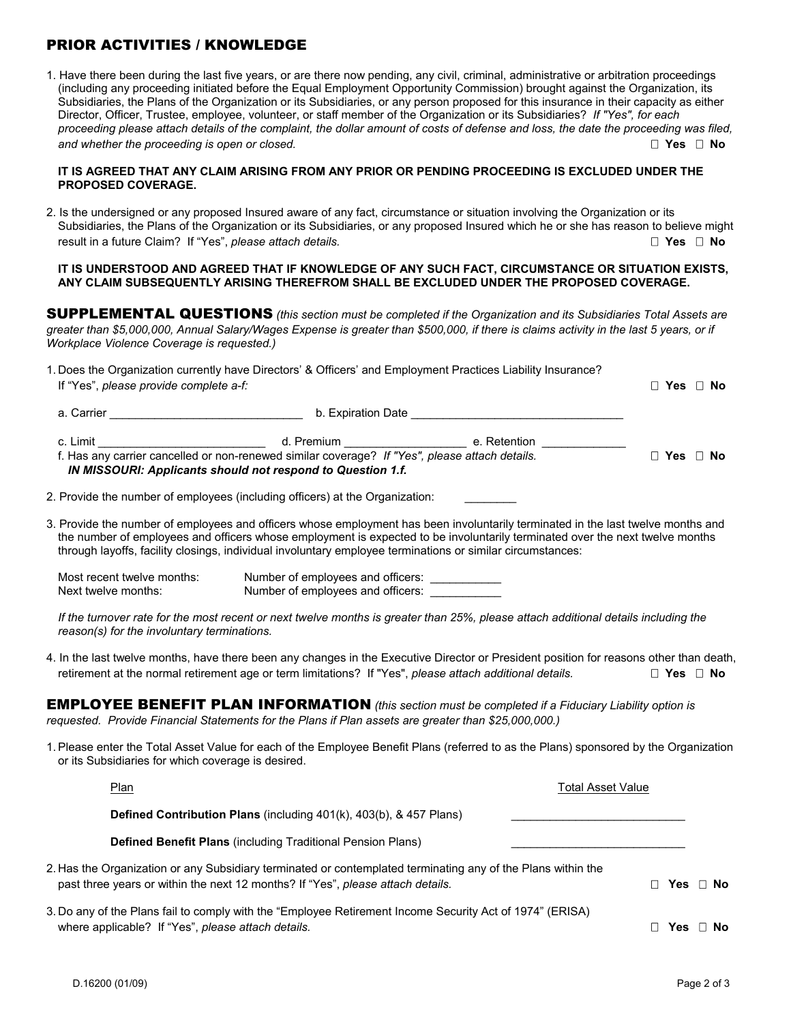# PRIOR ACTIVITIES / KNOWLEDGE

1. Have there been during the last five years, or are there now pending, any civil, criminal, administrative or arbitration proceedings (including any proceeding initiated before the Equal Employment Opportunity Commission) brought against the Organization, its Subsidiaries, the Plans of the Organization or its Subsidiaries, or any person proposed for this insurance in their capacity as either Director, Officer, Trustee, employee, volunteer, or staff member of the Organization or its Subsidiaries? *If "Yes", for each proceeding please attach details of the complaint, the dollar amount of costs of defense and loss, the date the proceeding was filed, and whether the proceeding is open or closed.* **<b>***No Secured and whether the proceeding is open or closed.* **<b>A** 

### **IT IS AGREED THAT ANY CLAIM ARISING FROM ANY PRIOR OR PENDING PROCEEDING IS EXCLUDED UNDER THE PROPOSED COVERAGE.**

2. Is the undersigned or any proposed Insured aware of any fact, circumstance or situation involving the Organization or its Subsidiaries, the Plans of the Organization or its Subsidiaries, or any proposed Insured which he or she has reason to believe might **Fasult in a future Claim?** If "Yes", *please attach details.*  **Yes D** No *No No No No No No No No No No No No No No No No No No No No No* 

#### **IT IS UNDERSTOOD AND AGREED THAT IF KNOWLEDGE OF ANY SUCH FACT, CIRCUMSTANCE OR SITUATION EXISTS, ANY CLAIM SUBSEQUENTLY ARISING THEREFROM SHALL BE EXCLUDED UNDER THE PROPOSED COVERAGE.**

SUPPLEMENTAL QUESTIONS *(this section must be completed if the Organization and its Subsidiaries Total Assets are greater than \$5,000,000, Annual Salary/Wages Expense is greater than \$500,000, if there is claims activity in the last 5 years, or if Workplace Violence Coverage is requested.)*

| If "Yes", please provide complete a-f:                                                                                                                                                                                         | 1. Does the Organization currently have Directors' & Officers' and Employment Practices Liability Insurance?                                                                                  |                                                                                                                | $\Box$ Yes $\Box$ No |
|--------------------------------------------------------------------------------------------------------------------------------------------------------------------------------------------------------------------------------|-----------------------------------------------------------------------------------------------------------------------------------------------------------------------------------------------|----------------------------------------------------------------------------------------------------------------|----------------------|
| a. Carrier and the contract of the contract of the contract of the contract of the contract of the contract of                                                                                                                 |                                                                                                                                                                                               | b. Expiration Date and the state of the state of the state of the state of the state of the state of the state |                      |
| c. Limit the contract of the contract of the contract of the contract of the contract of the contract of the contract of the contract of the contract of the contract of the contract of the contract of the contract of the c | d. Premium <u>__________</u><br>f. Has any carrier cancelled or non-renewed similar coverage? If "Yes", please attach details.<br>IN MISSOURI: Applicants should not respond to Question 1.f. | e. Retention                                                                                                   | $\Box$ Yes $\Box$ No |
|                                                                                                                                                                                                                                | 2. Provide the number of employees (including officers) at the Organization:                                                                                                                  |                                                                                                                |                      |

3. Provide the number of employees and officers whose employment has been involuntarily terminated in the last twelve months and the number of employees and officers whose employment is expected to be involuntarily terminated over the next twelve months through layoffs, facility closings, individual involuntary employee terminations or similar circumstances:

Most recent twelve months: Number of employees and officers: Next twelve months: Number of employees and officers:

*If the turnover rate for the most recent or next twelve months is greater than 25%, please attach additional details including the reason(s) for the involuntary terminations.*

4. In the last twelve months, have there been any changes in the Executive Director or President position for reasons other than death, retirement at the normal retirement age or term limitations? If "Yes", *please attach additional details.*  **Yes No**

EMPLOYEE BENEFIT PLAN INFORMATION *(this section must be completed if a Fiduciary Liability option is requested. Provide Financial Statements for the Plans if Plan assets are greater than \$25,000,000.)*

1. Please enter the Total Asset Value for each of the Employee Benefit Plans (referred to as the Plans) sponsored by the Organization or its Subsidiaries for which coverage is desired.

| Plan<br><b>Total Asset Value</b>                                                                                                                                                                |  |  |                      |  |
|-------------------------------------------------------------------------------------------------------------------------------------------------------------------------------------------------|--|--|----------------------|--|
| Defined Contribution Plans (including 401(k), 403(b), & 457 Plans)                                                                                                                              |  |  |                      |  |
| <b>Defined Benefit Plans (including Traditional Pension Plans)</b>                                                                                                                              |  |  |                      |  |
| 2. Has the Organization or any Subsidiary terminated or contemplated terminating any of the Plans within the<br>past three years or within the next 12 months? If "Yes", please attach details. |  |  | $\Box$ Yes $\Box$ No |  |
| 3. Do any of the Plans fail to comply with the "Employee Retirement Income Security Act of 1974" (ERISA)<br>where applicable? If "Yes", please attach details.                                  |  |  | Yes □ No             |  |